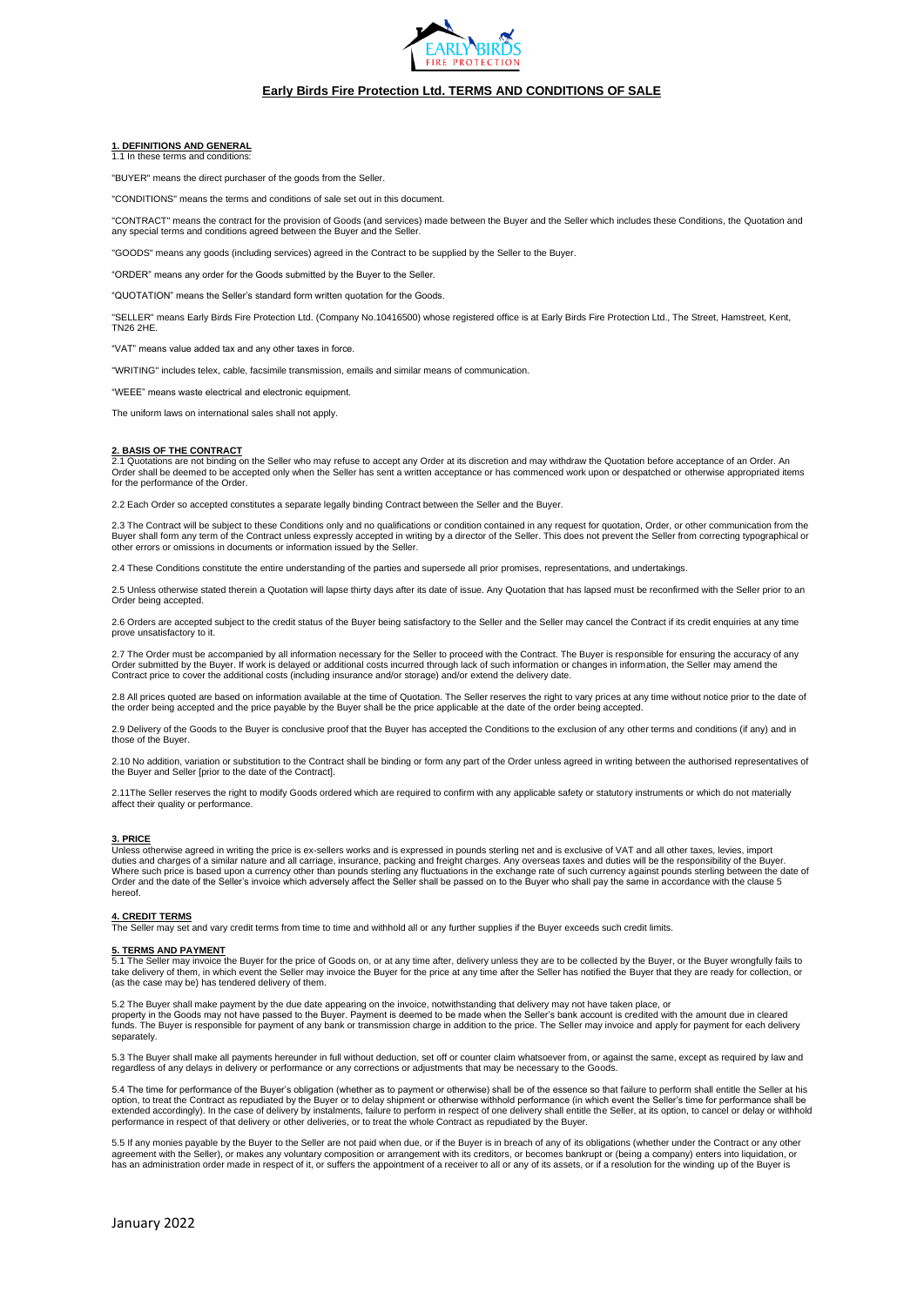

### **1. DEFINITIONS AND GENERAL**

1.1 In these terms and conditions:

"BUYER" means the direct purchaser of the goods from the Seller.

"CONDITIONS" means the terms and conditions of sale set out in this document.

"CONTRACT" means the contract for the provision of Goods (and services) made between the Buyer and the Seller which includes these Conditions, the Quotation and<br>any special terms and conditions agreed between the Buyer and

S" means any goods (including services) agreed in the Contract to be supplied by the Seller to the Buyer.

"ORDER" means any order for the Goods submitted by the Buyer to the Seller.

"QUOTATION" means the Seller's standard form written quotation for the Goods.

"SELLER" means Early Birds Fire Protection Ltd. (Company No.10416500) whose registered office is at Early Birds Fire Protection Ltd., The Street, Hamstreet, Kent, TN26 2HE.

"VAT" means value added tax and any other taxes in force.

"WRITING" includes telex, cable, facsimile transmission, emails and similar means of communication.

"WEEE" means waste electrical and electronic equipment.

The uniform laws on international sales shall not apply.

### **2. BASIS OF THE CONTRACT**

2.1 Quotations are not binding on the Seller who may refuse to accept any Order at its discretion and may withdraw the Quotation before acceptance of an Order. An Order shall be deemed to be accepted only when the Seller has sent a written acceptance or has commenced work upon or despatched or otherwise appropriated items for the performance of the Order.

ch Order so accepted constitutes a separate legally binding Contract between the Seller and the Buyer.

2.3 The Contract will be subject to these Conditions only and no qualifications or condition contained in any request for quotation, Order, or other communication from the<br>Buyer shall form any term of the Contract unless e other errors or omissions in documents or information issued by the Seller.

2.4 These Conditions constitute the entire understanding of the parties and supersede all prior promises, representations, and undertakings.

2.5 Unless otherwise stated therein a Quotation will lapse thirty days after its date of issue. Any Quotation that has lapsed must be reconfirmed with the Seller prior to an Order being accepted.

2.6 Orders are accepted subject to the credit status of the Buyer being satisfactory to the Seller and the Seller may cancel the Contract if its credit enquiries at any time prove unsatisfactory to it.

2.7 The Order must be accompanied by all information necessary for the Seller to proceed with the Contract. The Buyer is responsible for ensuring the accuracy of any Order submitted by the Buyer. If work is delayed or additional costs incurred through lack of such information or changes in information, the Seller may amend the<br>Contract price to cover the additional costs (including ins

2.8 All prices quoted are based on information available at the time of Quotation. The Seller reserves the right to vary prices at any time without notice prior to the date of<br>the order being accepted and the price payable

2.9 Delivery of the Goods to the Buyer is conclusive proof that the Buyer has accepted the Conditions to the exclusion of any other terms and conditions (if any) and in those of the Buyer.

2.10 No addition, variation or substitution to the Contract shall be binding or form any part of the Order unless agreed in writing between the authorised representatives of the Buyer and Seller [prior to the date of the Contract].

2.11The Seller reserves the right to modify Goods ordered which are required to confirm with any applicable safety or statutory instruments or which do not materially affect their quality or performance

# **3. PRICE**

Unless otherwise agreed in writing the price is ex-sellers works and is expressed in pounds sterling net and is exclusive of VAT and all other taxes, levies, import duties and charges of a similar nature and all carriage, insurance, packing and freight charges. Any overseas taxes and duties will be the responsibility of the Buyer.<br>Where such price is based upon a currency other than p hereof.

**4. CREDIT TERMS** The Seller may set and vary credit terms from time to time and withhold all or any further supplies if the Buyer exceeds such credit limits.

# **5. TERMS AND PAYMENT**<br>5.1 The Seller may invoice to

5.1 The Seller may invoice the Buyer for the price of Goods on, or at any time after, delivery unless they are to be collected by the Buyer, or the Buyer wrongfully fails to take delivery of them, in which event the Seller may invoice the Buyer for the price at any time after the Seller has notified the Buyer that they are ready for collection, or (as the case may be) has tendered delivery of them.

5.2 The Buyer shall make payment by the due date appearing on the invoice, notwithstanding that delivery may not have taken place, or property in the Goods may not have passed to the Buyer. Payment is deemed to be made when the Seller's bank account is credited with the amount due in cleared<br>funds. The Buyer is responsible for payment of any bank or tran separately.

5.3 The Buyer shall make all payments hereunder in full without deduction, set off or counter claim whatsoever from, or against the same, except as required by law and regardless of any delays in delivery or performance or any corrections or adjustments that may be necessary to the Goods.

5.4 The time for performance of the Buyer's obligation (whether as to payment or otherwise) shall be of the essence so that failure to perform shall entitle the Seller at his option, to treat the Contract as repudiated by the Buyer or to delay shipment or otherwise withhold performance (in which event the Seller's time for performance shall be<br>extended accordingly). In the case of delivery by i performance in respect of that delivery or other deliveries, or to treat the whole Contract as repudiated by the Buyer.

5.5 If any monies payable by the Buyer to the Seller are not paid when due, or if the Buyer is in breach of any of its obligations (whether under the Contract or any other<br>agreement with the Seller), or makes any voluntary has an administration order made in respect of it, or suffers the appointment of a receiver to all or any of its assets, or if a resolution for the winding up of the Buyer is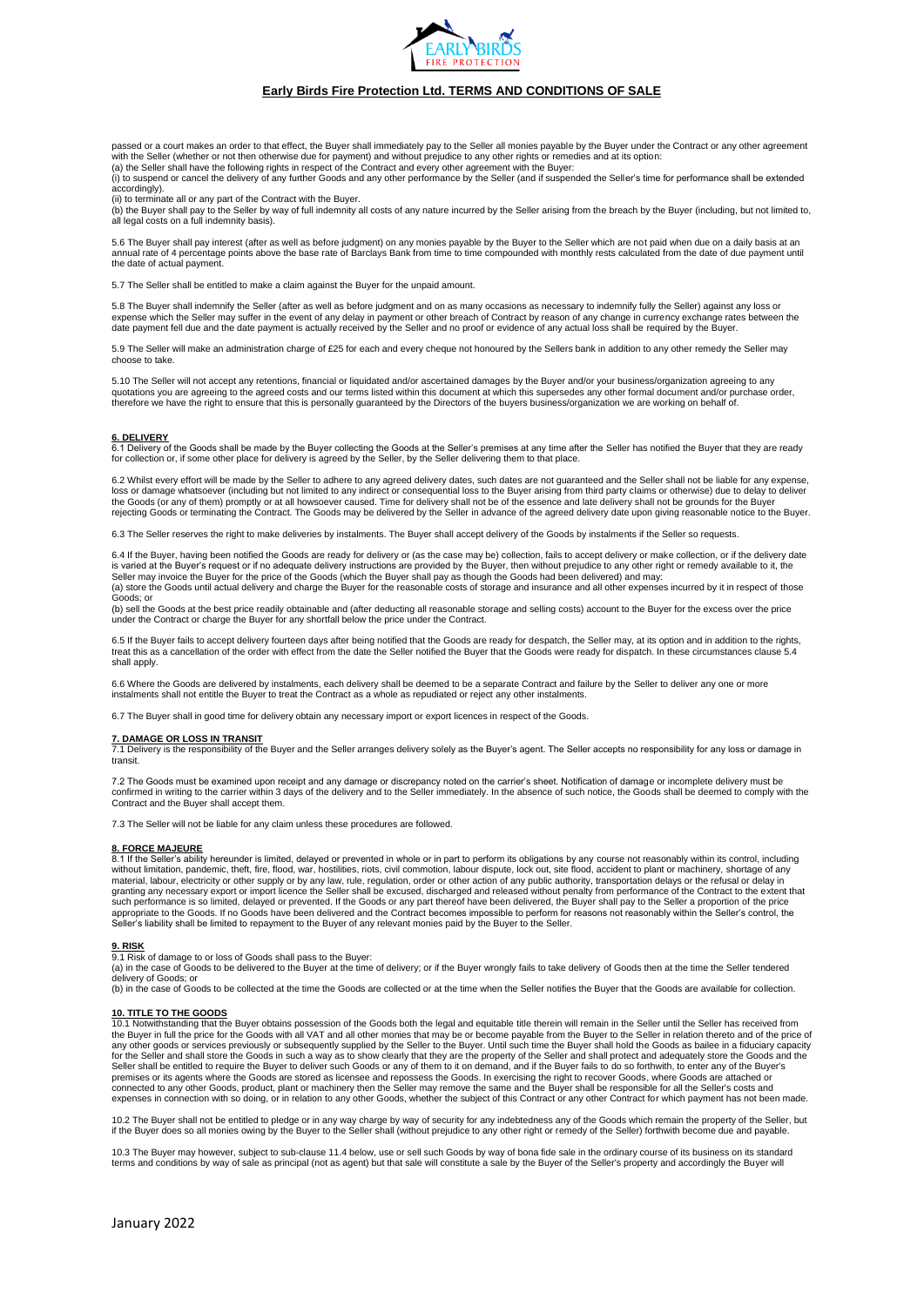

passed or a court makes an order to that effect, the Buver shall immediately pay to the Seller all monies payable by the Buyer under the Contract or any other agreement

with the Seller (whether or not then otherwise due for payment) and without prejudice to any other rights or remedies and at its option:<br>(a) the Seller shall have the following rights in respect of the Contract and every o accordingly).

(ii) to terminate all or any part of the Contract with the Buyer.<br>(b) the Buyer shall pay to the Seller by way of full indemnity all costs of any nature incurred by the Seller arising from the breach by the Buyer (includin

5.6 The Buyer shall pay interest (after as well as before judgment) on any monies payable by the Buyer to the Seller which are not paid when due on a daily basis at an<br>annual rate of 4 percentage points above the base rate the date of actual payment.

5.7 The Seller shall be entitled to make a claim against the Buyer for the unpaid amount.

5.8 The Buyer shall indemnify the Seller (after as well as before judgment and on as many occasions as necessary to indemnify fully the Seller) against any loss or expense which the Seller may suffer in the event of any delay in payment or other breach of Contract by reason of any change in currency exchange rates between the date payment fell due and the date payment is actually received by the Seller and no proof or evidence of any actual loss shall be required by the Buyer.

5.9 The Seller will make an administration charge of £25 for each and every cheque not honoured by the Sellers bank in addition to any other remedy the Seller may choose to take.

5.10 The Seller will not accept any retentions, financial or liquidated and/or ascertained damages by the Buyer and/or your business/organization agreeing to any<br>quotations you are agreeing to the agreed costs and our term

**6. DELIVERY** 6.1 Delivery of the Goods shall be made by the Buyer collecting the Goods at the Seller's premises at any time after the Seller has notified the Buyer that they are ready for collection or, if some other place for delivery is agreed by the Seller, by the Seller delivering them to that place.

6.2 Whilst every effort will be made by the Seller to adhere to any agreed delivery dates, such dates are not guaranteed and the Seller shall not be liable for any expense, loss or damage whatsoever (including but not limited to any indirect or consequential loss to the Buyer arising from third party claims or otherwise) due to delay to deliver<br>the Goods (or any of them) promptly or at all ho rejecting Goods or terminating the Contract. The Goods may be delivered by the Seller in advance of the agreed delivery date upon giving reasonable notice to the Buyer.

6.3 The Seller reserves the right to make deliveries by instalments. The Buyer shall accept delivery of the Goods by instalments if the Seller so requests.

6.4 If the Buyer, having been notified the Goods are ready for delivery or (as the case may be) collection, fails to accept delivery or make collection, or if the delivery date is varied at the Buyer's request or if no adequate delivery instructions are provided by the Buyer, then without prejudice to any other right or remedy available to it, the Seller may invoice the Buyer for the price of the Goods (which the Buyer shall pay as though the Goods had been delivered) and may:<br>(a) store the Goods until actual delivery and charge the Buyer for the reasonable costs of Goods; or

(b) sell the Goods at the best price readily obtainable and (after deducting all reasonable storage and selling costs) account to the Buyer for the excess over the price<br>under the Contract or charge the Buyer for any short

6.5 If the Buyer fails to accept delivery fourteen days after being notified that the Goods are ready for despatch, the Seller may, at its option and in addition to the rights. treat this as a cancellation of the order with effect from the date the Seller notified the Buyer that the Goods were ready for dispatch. In these circumstances clause 5.4 shall apply.

6.6 Where the Goods are delivered by instalments, each delivery shall be deemed to be a separate Contract and failure by the Seller to deliver any one or more instalments shall not entitle the Buyer to treat the Contract as a whole as repudiated or reject any other instalments.

6.7 The Buyer shall in good time for delivery obtain any necessary import or export licences in respect of the Goods.

**7. DAMAGE OR LOSS IN TRANSIT** 7.1 Delivery is the responsibility of the Buyer and the Seller arranges delivery solely as the Buyer's agent. The Seller accepts no responsibility for any loss or damage in transit.

7.2 The Goods must be examined upon receipt and any damage or discrepancy noted on the carrier's sheet. Notification of damage or incomplete delivery must be<br>confirmed in writing to the carrier within 3 days of the deliver Contract and the Buyer shall accept them.

7.3 The Seller will not be liable for any claim unless these procedures are followed.

### **8. FORCE MAJEURE**

8.1 If the Seller's ability hereunder is limited, delayed or prevented in whole or in part to perform its obligations by any course not reasonably within its control, including without limitation, pandemic, theft, fire, fl appropriate to the Goods. If no Goods have been delivered and the Contract becomes impossible to perform for reasons not reasonably within the Seller's control, the<br>Seller's liability shall be limited to repayment to the B

### **9. RISK**

9.1 Risk of damage to or loss of Goods shall pass to the Buyer:<br>(a) in the case of Goods to be delivered to the Buyer at the time of delivery; or if the Buyer wrongly fails to take delivery of Goods then at the time the Se delivery of Goods; or

(b) in the case of Goods to be collected at the time the Goods are collected or at the time when the Seller notifies the Buyer that the Goods are available for collection.

**10. TITLE TO THE GOODS** 10.1 Notwithstanding that the Buyer obtains possession of the Goods both the legal and equitable title therein will remain in the Seller until the Seller has received from the Buyer in full the price for the Goods with all VAT and all other monies that may be or become payable from the Buyer to the Seller in relation thereto and of the price of<br>any other goods or services previously or subse for the Seller and shall store the Goods in such a way as to show clearly that they are the property of the Seller and shall protect and adequately store the Goods and the<br>Seller shall be entitled to require the Buyer to d premises or its agents where the Goods are stored as licensee and repossess the Goods. In exercising the right to recover Goods, where Goods are attached or connected to any other Goods, product, plant or machinery then the Seller may remove the same and the Buyer shall be responsible for all the Seller's costs and expenses in connection with so doing, or in relation to any other Goods, whether the subject of this Contract or any other Contract for which payment has not been made.

10.2 The Buyer shall not be entitled to pledge or in any way charge by way of security for any indebtedness any of the Goods which remain the property of the Seller, but<br>if the Buyer does so all monies owing by the Buyer t

10.3 The Buyer may however, subject to sub-clause 11.4 below, use or sell such Goods by way of bona fide sale in the ordinary course of its business on its standard<br>terms and conditions by way of sale as principal (not as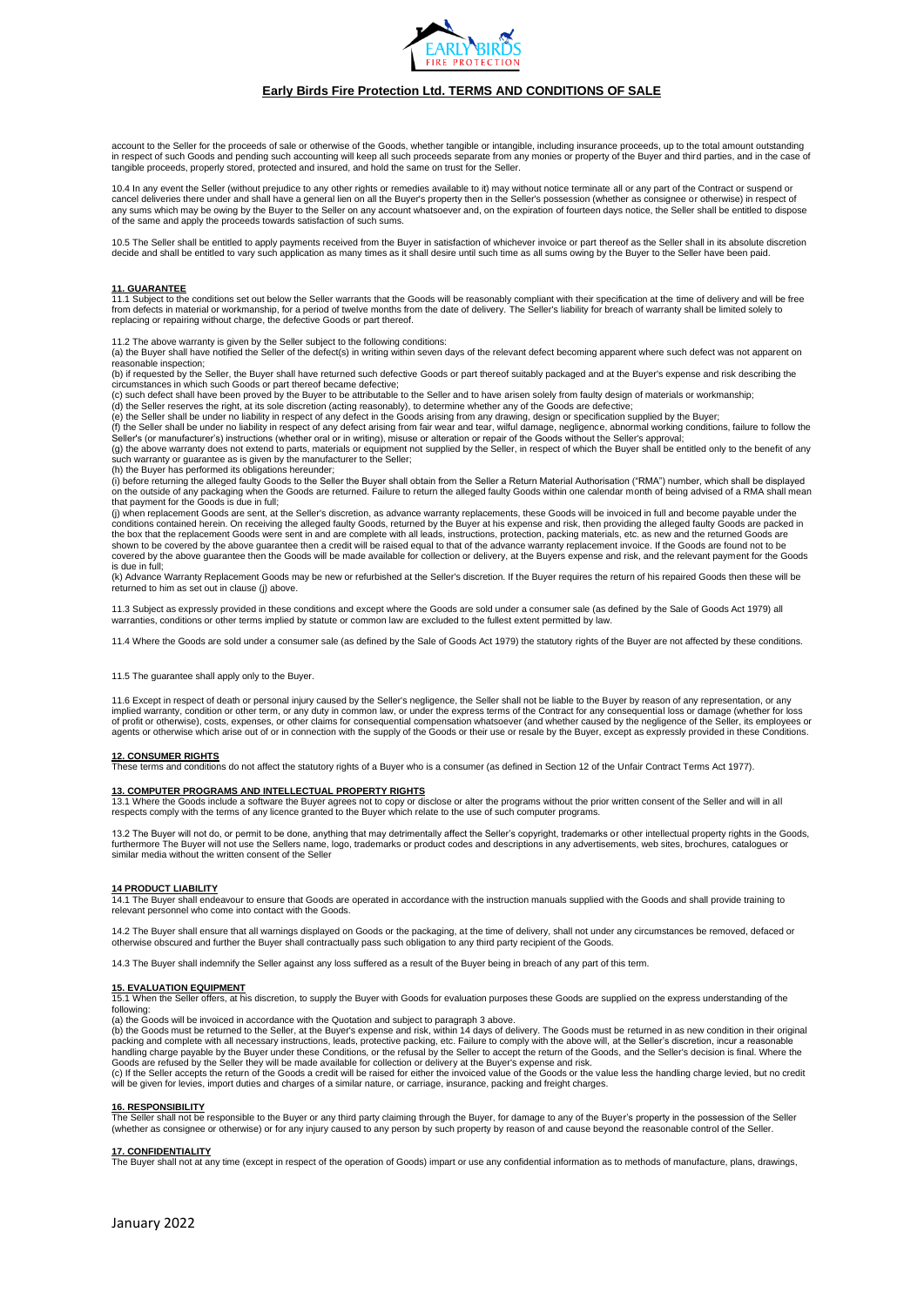

account to the Seller for the proceeds of sale or otherwise of the Goods, whether tangible or intangible, including insurance proceeds, up to the total amount outstanding in respect of such Goods and pending such accounting will keep all such proceeds separate from any monies or property of the Buyer and third parties, and in the case of tangible proceeds, properly stored, protected and insured, and hold the same on trust for the Seller.

10.4 In any event the Seller (without prejudice to any other rights or remedies available to it) may without notice terminate all or any part of the Contract or suspend or<br>cancel deliveries there under and shall have a gen of the same and apply the proceeds towards satisfaction of such sums.

10.5 The Seller shall be entitled to apply payments received from the Buyer in satisfaction of whichever invoice or part thereof as the Seller shall in its absolute discretion<br>decide and shall be entitled to vary such appl

### **11. GUARANTEE**

11.1 Subject to the conditions set out below the Seller warrants that the Goods will be reasonably compliant with their specification at the time of delivery and will be free<br>from defects in material or workmanship, for a replacing or repairing without charge, the defective Goods or part thereof.

11.2 The above warranty is given by the Seller subject to the following conditions:<br>(a) the Buyer shall have notified the Seller of the defect(s) in writing within seven days of the relevant defect becoming apparent where reasonable inspection;

(b) if requested by the Seller, the Buyer shall have returned such defective Goods or part thereof suitably packaged and at the Buyer's expense and risk describing the (b) if requested by the Seller, the Buyer shall have r circumstances in which such Goods or part thereof became defective;

(c) such defect shall have been proved by the Buyer to be attributable to the Seller and to have arisen solely from faulty design of materials or workmanship;

(d) the Seller reserves the right, at its sole discretion (acting reasonably), to determine whether any of the Goods are defective;<br>(e) the Seller shall be under no liability in respect of any defect in the Goods arising f

Seller's (or manufacturer's) instructions (whether oral or in writing), misuse or alteration or repair of the Goods without the Seller's approval;<br>(g) the above warranty does not extend to parts, materials or equipment not such warranty or guarantee as is given by the manufacturer to the Seller; (h) the Buyer has performed its obligations hereunder;

(i) before returning the alleged faulty Goods to the Seller the Buyer shall obtain from the Seller a Return Material Authorisation ("RMA") number, which shall be displayed<br>on the outside of any packaging when the Goods are that payment for the Goods is due in full;

(j) when replacement Goods are sent, at the Seller's discretion, as advance warranty replacements, these Goods will be invoiced in full and become payable under the<br>conditions contained herein. On receiving the alleged fau the box that the replacement Goods were sent in and are complete with all leads, instructions, protection, packing materials, etc. as new and the returned Goods are<br>shown to be covered by the above guarantee then a credit covered by the above guarantee then the Goods will be made available for collection or delivery, at the Buyers expense and risk, and the relevant payment for the Goods is due in full;

(k) Advance Warranty Replacement Goods may be new or refurbished at the Seller's discretion. If the Buyer requires the return of his repaired Goods then these will be returned to him as set out in clause (j) above.

11.3 Subject as expressly provided in these conditions and except where the Goods are sold under a consumer sale (as defined by the Sale of Goods Act 1979) all warranties, conditions or other terms implied by statute or common law are excluded to the fullest extent permitted by law.

11.4 Where the Goods are sold under a consumer sale (as defined by the Sale of Goods Act 1979) the statutory rights of the Buyer are not affected by these conditions.

### 11.5 The guarantee shall apply only to the Buyer.

11.6 Except in respect of death or personal injury caused by the Seller's negligence, the Seller shall not be liable to the Buyer by reason of any representation, or any<br>implied warranty, condition or other term, or any du of profit or otherwise), costs, expenses, or other claims for consequential compensation whatsoever (and whether caused by the negligence of the Seller, its employees or agents or otherwise which arise out of or in connection with the supply of the Goods or their use or resale by the Buyer, except as expressly provided in these Conditions.

**12. CONSUMER RIGHTS** These terms and conditions do not affect the statutory rights of a Buyer who is a consumer (as defined in Section 12 of the Unfair Contract Terms Act 1977).

<u>13**. COMPUTER PROGRAMS AND INTELLECTUAL PROPERTY RIGHTS**<br>13.1 Where the Goods include a software the Buyer agrees not to copy or disclose or alter the programs without the prior written consent of the Seller and will in a</u>

13.2 The Buyer will not do, or permit to be done, anything that may detrimentally affect the Seller's copyright, trademarks or other intellectual property rights in the Goods,<br>furthermore The Buyer will not use the Sellers

### **14 PRODUCT LIABILITY**

14.1 The Buyer shall endeavour to ensure that Goods are operated in accordance with the instruction manuals supplied with the Goods and shall provide training to relevant personnel who come into contact with the Goods.

14.2 The Buyer shall ensure that all warnings displayed on Goods or the packaging, at the time of delivery, shall not under any circumstances be removed, defaced or<br>otherwise obscured and further the Buyer shall contractua

14.3 The Buyer shall indemnify the Seller against any loss suffered as a result of the Buyer being in breach of any part of this term.

### **15. EVALUATION EQUIPMENT**

15.1 When the Seller offers, at his discretion, to supply the Buyer with Goods for evaluation purposes these Goods are supplied on the express understanding of the following:

(a) the Goods will be invoiced in accordance with the Quotation and subject to paragraph 3 above.

(b) the Goods must be returned to the Seller, at the Buyer's expense and risk, within 14 days of delivery. The Goods must be returned in as new condition in their origina<br>packing and complete with all necessary instruction handling charge payable by the Buyer under these Conditions, or the refusal by the Seller to accept the return of the Goods, and the Seller's decision is final. Where the<br>Goods are refused by the Seller they will be made a

(c) If the Seller accepts the return of the Goods a credit will be raised for either the invoiced value of the Goods or the value less the handling charge levied, but no credit<br>will be given for levies, import duties and c

### **16. RESPONSIBILITY**

The Seller shall not be responsible to the Buyer or any third party claiming through the Buyer, for damage to any of the Buyer's property in the possession of the Selleı<br>(whether as consignee or otherwise) or for any injur

**17. CONFIDENTIALITY** The Buyer shall not at any time (except in respect of the operation of Goods) impart or use any confidential information as to methods of manufacture, plans, drawings,